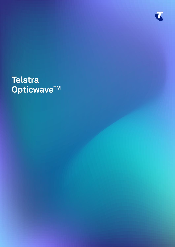

# Telstra<br>Opticwave™